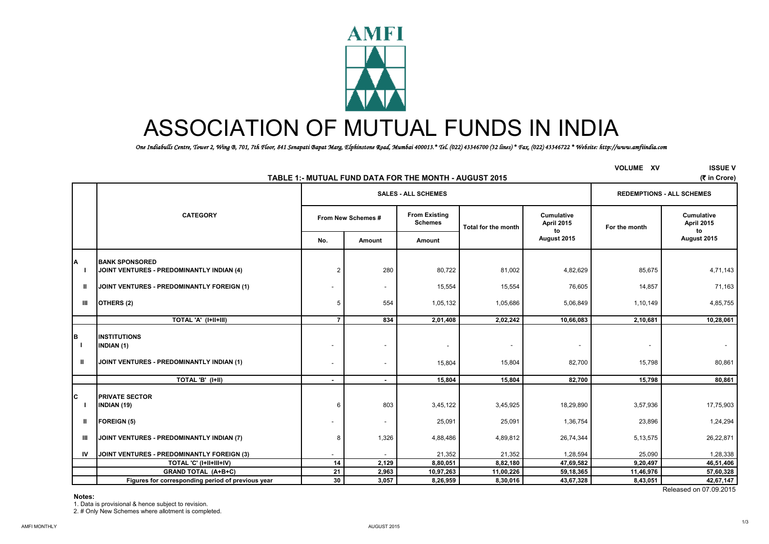

# ASSOCIATION OF MUTUAL FUNDS IN INDIA

 *One Indiabulls Centre, Tower 2, Wing B, 701, 7th Floor, 841 Senapati Bapat Marg, Elphinstone Road, Mumbai 400013.\* Tel. (022) 43346700 (32 lines) \* Fax. (022) 43346722 \* Website: http://www.amfiindia.com*

|                    |                                                                                       |                |                            | TABLE 1:- MUTUAL FUND DATA FOR THE MONTH - AUGUST 2015 |                     |                                       | <b>VOLUME XV</b> | <b>ISSUE V</b><br>(₹ in Crore)        |
|--------------------|---------------------------------------------------------------------------------------|----------------|----------------------------|--------------------------------------------------------|---------------------|---------------------------------------|------------------|---------------------------------------|
|                    |                                                                                       |                | <b>SALES - ALL SCHEMES</b> | <b>REDEMPTIONS - ALL SCHEMES</b>                       |                     |                                       |                  |                                       |
|                    | <b>CATEGORY</b>                                                                       |                | From New Schemes #         | <b>From Existing</b><br><b>Schemes</b>                 | Total for the month | <b>Cumulative</b><br>April 2015<br>to | For the month    | <b>Cumulative</b><br>April 2015<br>to |
|                    |                                                                                       | No.            | Amount                     | Amount                                                 |                     | August 2015                           |                  | August 2015                           |
|                    | <b>BANK SPONSORED</b><br>JOINT VENTURES - PREDOMINANTLY INDIAN (4)                    | $\overline{2}$ | 280                        | 80,722                                                 | 81,002              | 4,82,629                              | 85,675           | 4,71,143                              |
| $\mathbf{u}$       | JOINT VENTURES - PREDOMINANTLY FOREIGN (1)                                            |                | $\overline{\phantom{a}}$   | 15,554                                                 | 15,554              | 76,605                                | 14,857           | 71,163                                |
| Ш                  | OTHERS (2)                                                                            | 5              | 554                        | 1,05,132                                               | 1,05,686            | 5,06,849                              | 1,10,149         | 4,85,755                              |
|                    | TOTAL 'A' (I+II+III)                                                                  | $\overline{7}$ | 834                        | 2,01,408                                               | 2,02,242            | 10,66,083                             | 2,10,681         | 10,28,061                             |
| $\mathbf{I}$<br>Ш. | <b>INSTITUTIONS</b><br><b>INDIAN (1)</b><br>JOINT VENTURES - PREDOMINANTLY INDIAN (1) |                |                            | $\overline{\phantom{a}}$<br>15,804                     | 15,804              | 82,700                                | 15,798           | 80,861                                |
|                    | TOTAL 'B' (I+II)                                                                      | $\sim$         |                            | 15,804                                                 | 15,804              | 82,700                                | 15,798           | 80,861                                |
| Ć                  | <b>PRIVATE SECTOR</b><br>INDIAN (19)                                                  | 6              | 803                        | 3,45,122                                               | 3,45,925            | 18,29,890                             | 3,57,936         | 17,75,903                             |
| Ш                  | <b>FOREIGN (5)</b>                                                                    |                | $\overline{\phantom{a}}$   | 25,091                                                 | 25,091              | 1,36,754                              | 23,896           | 1,24,294                              |
| Ш                  | JOINT VENTURES - PREDOMINANTLY INDIAN (7)                                             | 8              | 1,326                      | 4,88,486                                               | 4,89,812            | 26,74,344                             | 5,13,575         | 26,22,871                             |
| IV                 | JOINT VENTURES - PREDOMINANTLY FOREIGN (3)                                            |                |                            | 21,352                                                 | 21,352              | 1,28,594                              | 25,090           | 1,28,338                              |
|                    | TOTAL 'C' (I+II+III+IV)                                                               | 14             | 2,129                      | 8,80,051                                               | 8,82,180            | 47,69,582                             | 9,20,497         | 46,51,406                             |
|                    | <b>GRAND TOTAL (A+B+C)</b>                                                            | 21             | 2,963                      | 10,97,263                                              | 11,00,226           | 59,18,365                             | 11,46,976        | 57,60,328                             |
|                    | Figures for corresponding period of previous year                                     | 30             | 3,057                      | 8,26,959                                               | 8,30,016            | 43,67,328                             | 8,43,051         | 42,67,147                             |
|                    |                                                                                       |                |                            |                                                        |                     |                                       |                  | Released on 07,09,2015                |

**Notes:**

1. Data is provisional & hence subject to revision.

2. # Only New Schemes where allotment is completed.

1/3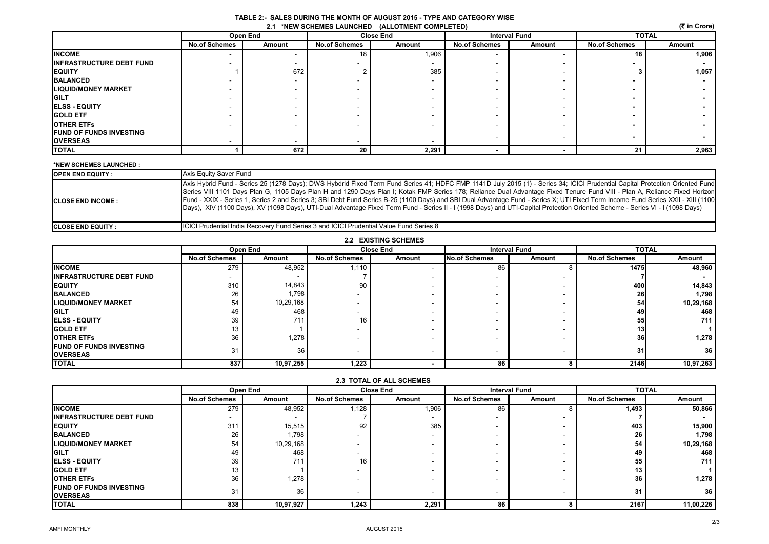|                                                 | TABLE 2:- SALES DURING THE MONTH OF AUGUST 2015 - TYPE AND CATEGORY WISE |  |
|-------------------------------------------------|--------------------------------------------------------------------------|--|
| 2.1 *NEW SCHEMES LAUNCHED (ALLOTMENT COMPLETED) |                                                                          |  |

| (₹ in Crore)<br><b>2.1 *NEW SCHEMES LAUNCHED</b><br>(ALLOTMENT COMPLETED) |                      |          |                      |                  |                      |                          |                      |        |
|---------------------------------------------------------------------------|----------------------|----------|----------------------|------------------|----------------------|--------------------------|----------------------|--------|
|                                                                           |                      | Open End |                      | <b>Close End</b> | <b>Interval Fund</b> |                          | <b>TOTAL</b>         |        |
|                                                                           | <b>No.of Schemes</b> | Amount   | <b>No.of Schemes</b> | Amount           | <b>No.of Schemes</b> | Amount                   | <b>No.of Schemes</b> | Amount |
| <b>INCOME</b>                                                             |                      |          | 18                   | 1,906            |                      | $\overline{\phantom{a}}$ | 18                   | 1,906  |
| <b>INFRASTRUCTURE DEBT FUND</b>                                           |                      |          |                      |                  |                      |                          |                      |        |
| <b>EQUITY</b>                                                             |                      | 672      |                      | 385              |                      |                          |                      | 1,057  |
| <b>BALANCED</b>                                                           |                      |          |                      |                  |                      |                          |                      |        |
| <b>LIQUID/MONEY MARKET</b>                                                |                      |          |                      |                  |                      |                          |                      |        |
| <b>GILT</b>                                                               |                      |          |                      |                  |                      |                          |                      |        |
| <b>ELSS - EQUITY</b>                                                      |                      |          |                      |                  |                      |                          |                      |        |
| <b>GOLD ETF</b>                                                           |                      |          |                      |                  |                      |                          | -                    |        |
| <b>OTHER ETFS</b>                                                         |                      |          |                      |                  |                      |                          |                      |        |
| <b>FUND OF FUNDS INVESTING</b>                                            |                      |          |                      |                  |                      | $\overline{\phantom{a}}$ |                      |        |
| <b>OVERSEAS</b>                                                           |                      |          |                      |                  |                      |                          | $\blacksquare$       |        |
| <b>TOTAL</b>                                                              |                      | 672      | 20                   | 2,291            |                      |                          | 21                   | 2,963  |

#### **\*NEW SCHEMES LAUNCHED :**

| <b>OPEN END EQUITY:</b>    | Axis Equity Saver Fund                                                                                                                                                                                                                                                                                                                                                                                                                                                                                                                                                                                                                                                                                                          |
|----------------------------|---------------------------------------------------------------------------------------------------------------------------------------------------------------------------------------------------------------------------------------------------------------------------------------------------------------------------------------------------------------------------------------------------------------------------------------------------------------------------------------------------------------------------------------------------------------------------------------------------------------------------------------------------------------------------------------------------------------------------------|
| <b>ICLOSE END INCOME:</b>  | Axis Hybrid Fund - Series 25 (1278 Days); DWS Hybdrid Fixed Term Fund Series 41; HDFC FMP 1141D July 2015 (1) - Series 34; ICICI Prudential Capital Protection Oriented Fund<br>Series VIII 1101 Days Plan G, 1105 Days Plan H and 1290 Days Plan I; Kotak FMP Series 178; Reliance Dual Advantage Fixed Tenure Fund VIII - Plan A, Reliance Fixed Horizon<br>Fund - XXIX - Series 1, Series 2 and Series 3; SBI Debt Fund Series B-25 (1100 Days) and SBI Dual Advantage Fund - Series X; UTI Fixed Term Income Fund Series XXII - XIII (1100<br>Days), XIV (1100 Days), XV (1098 Days), UTI-Dual Advantage Fixed Term Fund - Series II - I (1998 Days) and UTI-Capital Protection Oriented Scheme - Series VI - I (1098 Days) |
| <b>ICLOSE END EQUITY :</b> | ICICI Prudential India Recovery Fund Series 3 and ICICI Prudential Value Fund Series 8                                                                                                                                                                                                                                                                                                                                                                                                                                                                                                                                                                                                                                          |

| <b>2.2 EXISTING SCHEMES</b>     |                          |           |                          |                  |                          |                          |                      |              |  |
|---------------------------------|--------------------------|-----------|--------------------------|------------------|--------------------------|--------------------------|----------------------|--------------|--|
|                                 |                          | Open End  |                          | <b>Close End</b> |                          | <b>Interval Fund</b>     |                      | <b>TOTAL</b> |  |
|                                 | <b>No.of Schemes</b>     | Amount    | <b>No.of Schemes</b>     | Amount           | <b>No.of Schemes</b>     | Amount                   | <b>No.of Schemes</b> | Amount       |  |
| <b>INCOME</b>                   | 279                      | 48,952    | 1,110                    |                  | 86                       |                          | 1475                 | 48,960       |  |
| <b>INFRASTRUCTURE DEBT FUND</b> | $\overline{\phantom{a}}$ |           |                          |                  |                          |                          |                      |              |  |
| <b>IEQUITY</b>                  | 310                      | 14,843    | 90                       |                  |                          |                          | 400 l                | 14,843       |  |
| <b>BALANCED</b>                 | 26                       | 1,798     |                          |                  |                          |                          | <b>26</b>            | 1,798        |  |
| <b>LIQUID/MONEY MARKET</b>      | 54                       | 10,29,168 |                          |                  |                          | $\overline{\phantom{a}}$ | 54                   | 10,29,168    |  |
| <b>GILT</b>                     | 49                       | 468       |                          |                  |                          |                          | 49                   | 468          |  |
| <b>IELSS - EQUITY</b>           | 39                       | 711       | 16                       |                  |                          |                          | 55                   | 711          |  |
| <b>IGOLD ETF</b>                | 13                       |           |                          |                  |                          |                          | 13 <sup>l</sup>      |              |  |
| <b>IOTHER ETFS</b>              | 36                       | 1,278     |                          |                  |                          |                          | 36                   | 1,278        |  |
| <b>IFUND OF FUNDS INVESTING</b> | 31                       | 36        | $\overline{\phantom{a}}$ |                  | $\overline{\phantom{a}}$ |                          | 31                   | 36           |  |
| <b>OVERSEAS</b>                 |                          |           |                          |                  |                          |                          |                      |              |  |
| <b>TOTAL</b>                    | 837                      | 10,97,255 | 1,223                    |                  | 86                       |                          | <b>2146</b>          | 10,97,263    |  |

|                                 |                          | Open End  | <b>Close End</b>     |        | <b>Interval Fund</b> |                          | <b>TOTAL</b>         |                 |
|---------------------------------|--------------------------|-----------|----------------------|--------|----------------------|--------------------------|----------------------|-----------------|
|                                 | <b>No.of Schemes</b>     | Amount    | <b>No.of Schemes</b> | Amount | <b>No.of Schemes</b> | Amount                   | <b>No.of Schemes</b> | Amount          |
| <b>IINCOME</b>                  | 279                      | 48,952    | 1,128                | 1,906  | 86                   |                          | 1,493                | 50,866          |
| <b>INFRASTRUCTURE DEBT FUND</b> | $\overline{\phantom{a}}$ |           |                      |        |                      |                          |                      |                 |
| <b>IEQUITY</b>                  | 311                      | 15,515    | 92                   | 385    |                      | $\overline{\phantom{a}}$ | 403                  | 15,900          |
| <b>BALANCED</b>                 | 26                       | 1,798     |                      |        |                      |                          | 26                   | 1,798           |
| <b>LIQUID/MONEY MARKET</b>      | 54                       | 10,29,168 |                      |        |                      |                          | 54                   | 10,29,168       |
| <b>GILT</b>                     | 49                       | 468       |                      |        |                      |                          | 49                   | 468             |
| <b>IELSS - EQUITY</b>           | 39                       | 711       | 16                   |        |                      | $\overline{\phantom{a}}$ | 55                   | 711             |
| <b>IGOLD ETF</b>                | 13                       |           |                      |        |                      |                          | 13                   |                 |
| <b>OTHER ETFS</b>               | 36                       | 1,278     |                      |        |                      |                          | 36                   | 1,278           |
| <b>IFUND OF FUNDS INVESTING</b> | 31                       | 36        |                      |        |                      | $\overline{\phantom{a}}$ | 31                   | 36 <sup>1</sup> |
| <b>IOVERSEAS</b>                |                          |           |                      |        |                      |                          |                      |                 |
| <b>TOTAL</b>                    | 838                      | 10,97,927 | 1,243                | 2,291  | 86                   |                          | 2167                 | 11,00,226       |

## **2.3 TOTAL OF ALL SCHEMES**